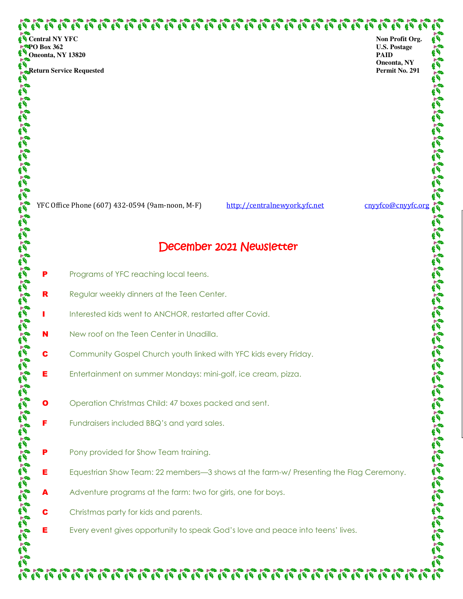いっしょういんしょう しょしょうきん しょしょうじゅうじょう しょうじょう しょうじょう しょうじんきょう しょうきんきょう

 **Return Service Requested** 

**Non Profit Org. U.S. Postage PAID Oneonta, NY Permit No. 291** 

YFC Office Phone (607) 432-0594 (9am-noon, M-F) http://centralnewyork.yfc.net cnyyfco@cnyyfc.org

## December 2021 Newsletter

- Programs of YFC reaching local teens.
- 

N New roof on the Teen Center in Unadilla.

- 
- **R** Regular weekly dinners at the Teen Center. I Interested kids went to ANCHOR, restarted after Covid. **C** Community Gospel Church youth linked with YFC kids every Friday. **E** Entertainment on summer Mondays: mini-golf, ice cream, pizza.
- 
- 
- **O** Operation Christmas Child: 47 boxes packed and sent.
- **F** Fundraisers included BBQ's and yard sales.
- **P** Pony provided for Show Team training.
- **E** Equestrian Show Team: 22 members—3 shows at the farm-w/ Presenting the Flag Ceremony.

 $\mathcal{P}_1 \mathcal{P}_1 \mathcal{P}_1 \mathcal{P}_1 \mathcal{P}_1 \mathcal{P}_1 \mathcal{P}_1 \mathcal{P}_1 \mathcal{P}_1 \mathcal{P}_1 \mathcal{P}_1 \mathcal{P}_1 \mathcal{P}_1 \mathcal{P}_1 \mathcal{P}_1 \mathcal{P}_1 \mathcal{P}_1 \mathcal{P}_1 \mathcal{P}_1 \mathcal{P}_1 \mathcal{P}_1 \mathcal{P}_1 \mathcal{P}_1 \mathcal{P}_1 \mathcal{P}_1 \mathcal{P}_1 \mathcal{P}_1 \mathcal{P}_1 \mathcal{P}_1 \mathcal{P}_1 \mathcal{P}_1 \mathcal$ 

- Adventure programs at the farm: two for girls, one for boys.
- **C** Christmas party for kids and parents.
- **E** Every event gives opportunity to speak God's love and peace into teens' lives.